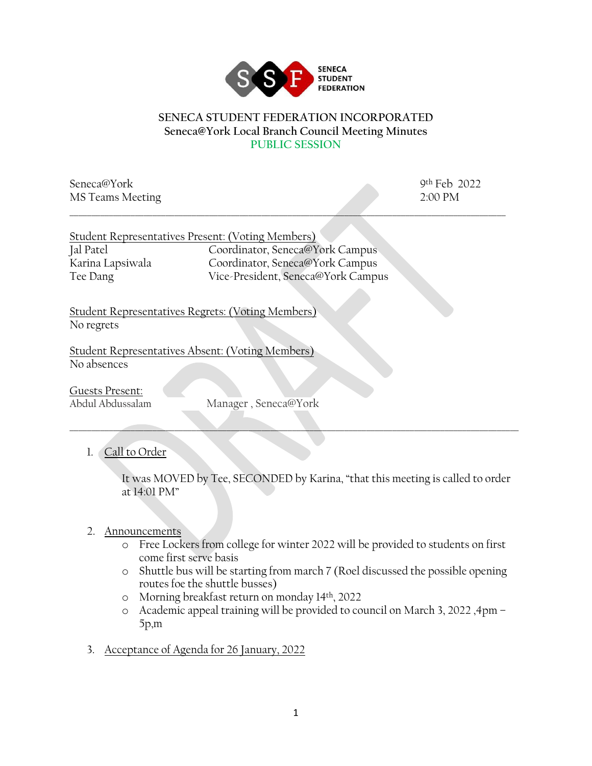

#### **SENECA STUDENT FEDERATION INCORPORATED Seneca@York Local Branch Council Meeting Minutes PUBLIC SESSION**

Seneca@York 9th Feb 2022 MS Teams Meeting 2:00 PM \_\_\_\_\_\_\_\_\_\_\_\_\_\_\_\_\_\_\_\_\_\_\_\_\_\_\_\_\_\_\_\_\_\_\_\_\_\_\_\_\_\_\_\_\_\_\_\_\_\_\_\_\_\_\_\_\_\_\_\_\_\_\_\_\_\_\_\_\_\_\_\_\_\_\_\_\_\_\_\_\_\_\_\_\_\_\_\_\_\_\_\_\_\_\_\_\_\_\_\_

|                  | Student Representatives Present: (Voting Members) |
|------------------|---------------------------------------------------|
| Jal Patel        | Coordinator, Seneca@York Campus                   |
| Karina Lapsiwala | Coordinator, Seneca@York Campus                   |
| Tee Dang         | Vice-President, Seneca@York Campus                |

Student Representatives Regrets: (Voting Members) No regrets

Student Representatives Absent: (Voting Members) No absences

Guests Present:

Abdul Abdussalam Manager , Seneca@York

# 1. Call to Order

It was MOVED by Tee, SECONDED by Karina, "that this meeting is called to order at 14:01 PM"

 $\Box$  . The contract of the contract of the contract of the contract of the contract of the contract of the contract of the contract of the contract of the contract of the contract of the contract of the contract of the co

#### 2. Announcements

- o Free Lockers from college for winter 2022 will be provided to students on first come first serve basis
- o Shuttle bus will be starting from march 7 (Roel discussed the possible opening routes foe the shuttle busses)
- o Morning breakfast return on monday 14th, 2022
- o Academic appeal training will be provided to council on March 3, 2022 ,4pm 5p,m
- 3. Acceptance of Agenda for 26 January, 2022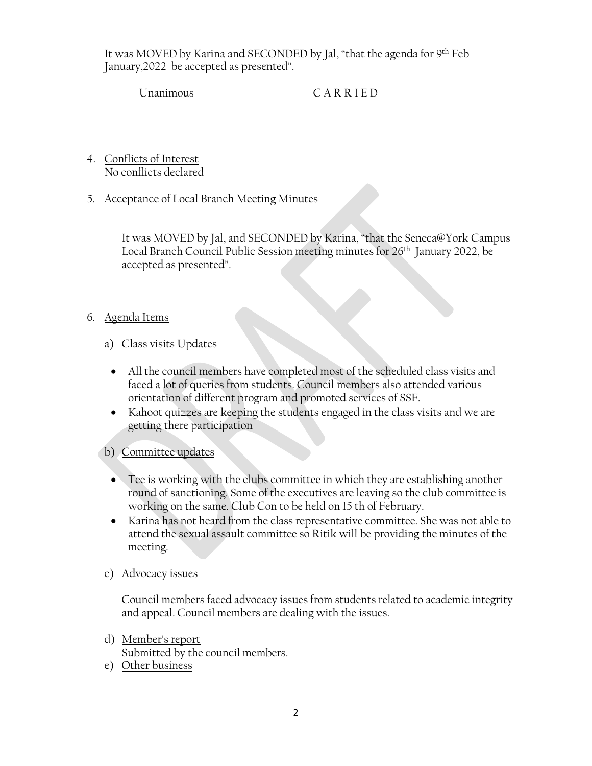It was MOVED by Karina and SECONDED by Jal, "that the agenda for 9th Feb January,2022 be accepted as presented".

Unanimous C A R R I E D

4. Conflicts of Interest No conflicts declared

## 5. Acceptance of Local Branch Meeting Minutes

It was MOVED by Jal, and SECONDED by Karina, "that the Seneca@York Campus Local Branch Council Public Session meeting minutes for 26<sup>th</sup> January 2022, be accepted as presented".

# 6. Agenda Items

## a) Class visits Updates

- All the council members have completed most of the scheduled class visits and faced a lot of queries from students. Council members also attended various orientation of different program and promoted services of SSF.
- Kahoot quizzes are keeping the students engaged in the class visits and we are getting there participation

# b) Committee updates

- Tee is working with the clubs committee in which they are establishing another round of sanctioning. Some of the executives are leaving so the club committee is working on the same. Club Con to be held on 15 th of February.
- Karina has not heard from the class representative committee. She was not able to attend the sexual assault committee so Ritik will be providing the minutes of the meeting.

#### c) Advocacy issues

Council members faced advocacy issues from students related to academic integrity and appeal. Council members are dealing with the issues.

- d) Member's report Submitted by the council members.
- e) Other business